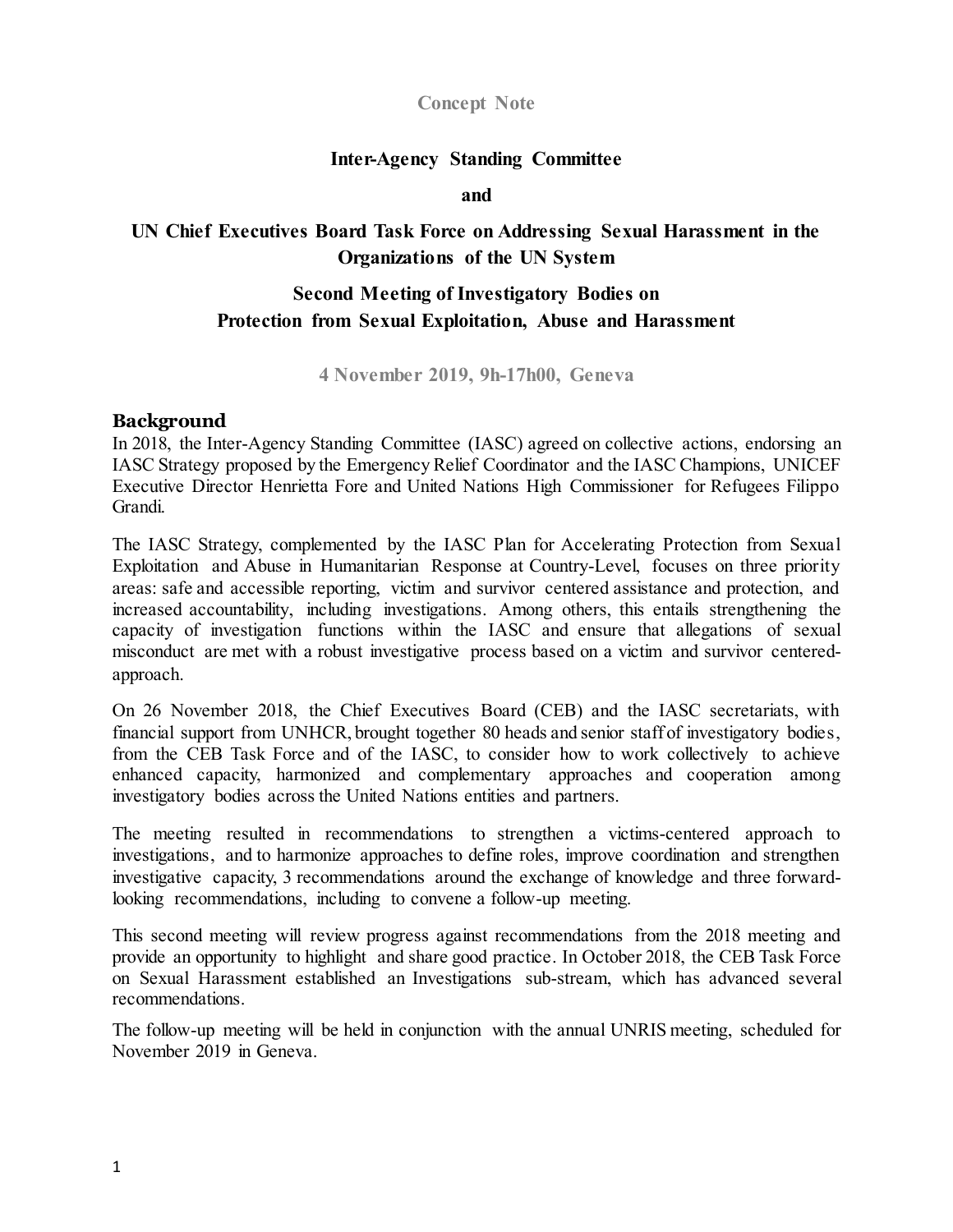### **Concept Note**

### **Inter-Agency Standing Committee**

#### **and**

# **UN Chief Executives Board Task Force on Addressing Sexual Harassment in the Organizations of the UN System**

# **Second Meeting of Investigatory Bodies on Protection from Sexual Exploitation, Abuse and Harassment**

**4 November 2019, 9h-17h00, Geneva**

### **Background**

In 2018, the Inter-Agency Standing Committee (IASC) agreed on collective actions, endorsing an IASC Strategy proposed by the Emergency Relief Coordinator and the IASC Champions, UNICEF Executive Director Henrietta Fore and United Nations High Commissioner for Refugees Filippo Grandi.

The IASC Strategy, complemented by the IASC Plan for Accelerating Protection from Sexual Exploitation and Abuse in Humanitarian Response at Country-Level, focuses on three priority areas: safe and accessible reporting, victim and survivor centered assistance and protection, and increased accountability, including investigations. Among others, this entails strengthening the capacity of investigation functions within the IASC and ensure that allegations of sexual misconduct are met with a robust investigative process based on a victim and survivor centeredapproach.

On 26 November 2018, the Chief Executives Board (CEB) and the IASC secretariats, with financial support from UNHCR, brought together 80 heads and senior staff of investigatory bodies, from the CEB Task Force and of the IASC, to consider how to work collectively to achieve enhanced capacity, harmonized and complementary approaches and cooperation among investigatory bodies across the United Nations entities and partners.

The meeting resulted in recommendations to strengthen a victims-centered approach to investigations, and to harmonize approaches to define roles, improve coordination and strengthen investigative capacity, 3 recommendations around the exchange of knowledge and three forwardlooking recommendations, including to convene a follow-up meeting.

This second meeting will review progress against recommendations from the 2018 meeting and provide an opportunity to highlight and share good practice. In October 2018, the CEB Task Force on Sexual Harassment established an Investigations sub-stream, which has advanced several recommendations.

The follow-up meeting will be held in conjunction with the annual UNRIS meeting, scheduled for November 2019 in Geneva.